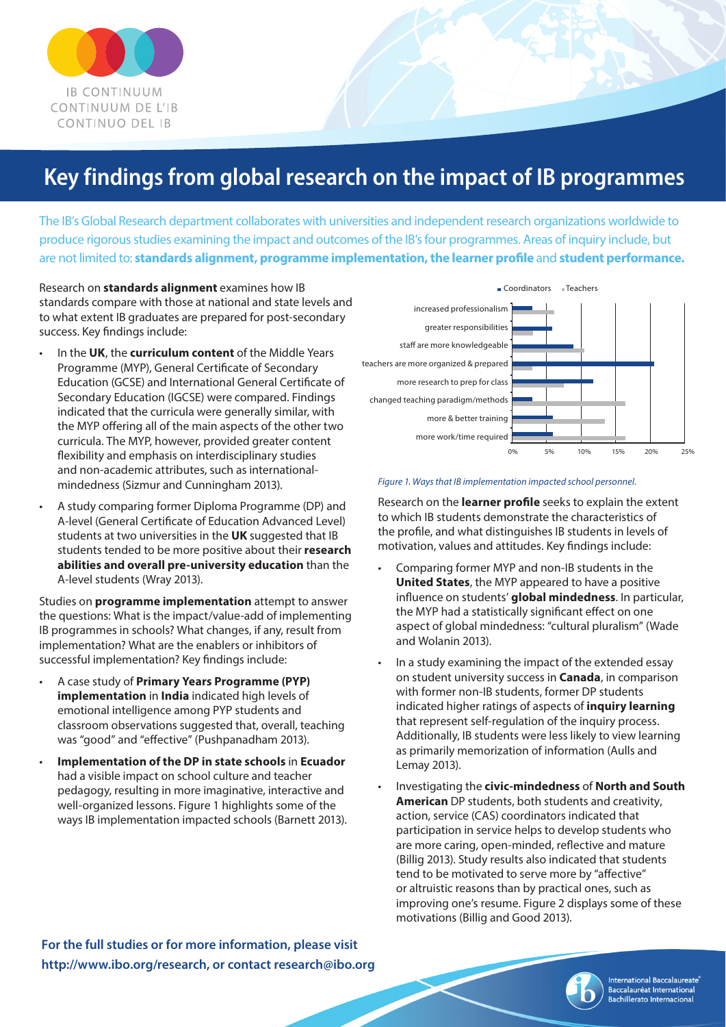

# **Key findings from global research on the impact of IB programmes**

The IB's Global Research department collaborates with universities and independent research organizations worldwide to produce rigorousstudies examining the impact and outcomes of the IB'sfour programmes. Areas of inquiry include, but are not limited to: **standards alignment, programme implementation, the learner profile** and **student performance.**

Research on **standards alignment** examines how IB standards compare with those at national and state levels and to what extent IB graduates are prepared for post-secondary success. Key findings include:

- In the **UK**, the **curriculum content** of the Middle Years Programme (MYP), General Certificate of Secondary Education (GCSE) and International General Certificate of Secondary Education (IGCSE) were compared. Findings indicated that the curricula were generally similar, with the MYP offering all of the main aspects of the other two curricula. The MYP, however, provided greater content flexibility and emphasis on interdisciplinary studies and non-academic attributes, such as internationalmindedness (Sizmur and Cunningham 2013).
- A study comparing former Diploma Programme (DP) and A-level (General Certificate of Education Advanced Level) students at two universities in the **UK** suggested that IB students tended to be more positive about their **research abilities and overall pre-university education** than the A-level students (Wray 2013).

Studies on **programme implementation** attempt to answer the questions: What is the impact/value-add of implementing IB programmes in schools? What changes, if any, result from implementation? What are the enablers or inhibitors of successful implementation? Key findings include:

- A case study of **Primary Years Programme (PYP) implementation** in **India** indicated high levels of emotional intelligence among PYP students and classroom observations suggested that, overall, teaching was "good" and "effective" (Pushpanadham 2013).
- **Implementation of the DP in state schools** in **Ecuador** had a visible impact on school culture and teacher pedagogy, resulting in more imaginative, interactive and well-organized lessons. Figure 1 highlights some of the ways IB implementation impacted schools (Barnett 2013).



### *Figure 1. Ways that IB implementation impacted school personnel.*

Research on the **learner profile** seeks to explain the extent to which IB students demonstrate the characteristics of the profile, and what distinguishes IB students in levels of motivation, values and attitudes. Key findings include:

- Comparing former MYP and non-IB students in the **United States**, the MYP appeared to have a positive influence on students' **global mindedness**. In particular, the MYP had a statistically significant effect on one aspect of global mindedness: "cultural pluralism" (Wade and Wolanin 2013).
- In a study examining the impact of the extended essay on student university success in **Canada**, in comparison with former non-IB students, former DP students indicated higher ratings of aspects of **inquiry learning** that represent self-regulation of the inquiry process. Additionally, IB students were less likely to view learning as primarily memorization of information (Aulls and Lemay 2013).
- Investigating the **civic-mindedness** of **North and South American** DP students, both students and creativity, action, service (CAS) coordinators indicated that participation in service helps to develop students who are more caring, open-minded, reflective and mature (Billig 2013). Study results also indicated that students tend to be motivated to serve more by "affective" or altruistic reasons than by practical ones, such as improving one's resume. Figure 2 displays some of these motivations (Billig and Good 2013).

**For the full studies or for more information, please visit http://www.ibo.org/research, or contact research@ibo.org**